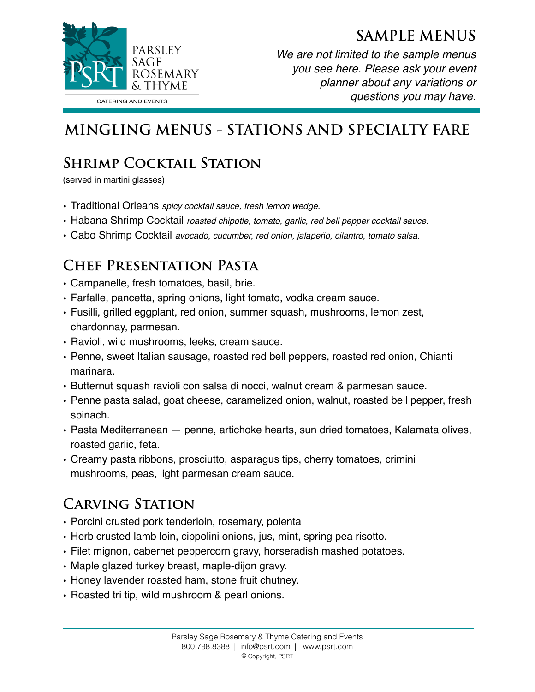



*We are not limited to the sample menus you see here. Please ask your event planner about any variations or questions you may have.* 

# **MINGLING MENUS - STATIONS AND SPECIALTY FARE**

## **Shrimp Cocktail Station**

(served in martini glasses)

- Traditional Orleans *spicy cocktail sauce, fresh lemon wedge.*
- Habana Shrimp Cocktail *roasted chipotle, tomato, garlic, red bell pepper cocktail sauce.*
- Cabo Shrimp Cocktail *avocado, cucumber, red onion, jalapeño, cilantro, tomato salsa.*

#### **Chef Presentation Pasta**

- Campanelle, fresh tomatoes, basil, brie.
- Farfalle, pancetta, spring onions, light tomato, vodka cream sauce.
- Fusilli, grilled eggplant, red onion, summer squash, mushrooms, lemon zest, chardonnay, parmesan.
- Ravioli, wild mushrooms, leeks, cream sauce.
- Penne, sweet Italian sausage, roasted red bell peppers, roasted red onion, Chianti marinara.
- Butternut squash ravioli con salsa di nocci, walnut cream & parmesan sauce.
- Penne pasta salad, goat cheese, caramelized onion, walnut, roasted bell pepper, fresh spinach.
- Pasta Mediterranean penne, artichoke hearts, sun dried tomatoes, Kalamata olives, roasted garlic, feta.
- Creamy pasta ribbons, prosciutto, asparagus tips, cherry tomatoes, crimini mushrooms, peas, light parmesan cream sauce.

#### **Carving Station**

- Porcini crusted pork tenderloin, rosemary, polenta
- Herb crusted lamb loin, cippolini onions, jus, mint, spring pea risotto.
- Filet mignon, cabernet peppercorn gravy, horseradish mashed potatoes.
- Maple glazed turkey breast, maple-dijon gravy.
- Honey lavender roasted ham, stone fruit chutney.
- Roasted tri tip, wild mushroom & pearl onions.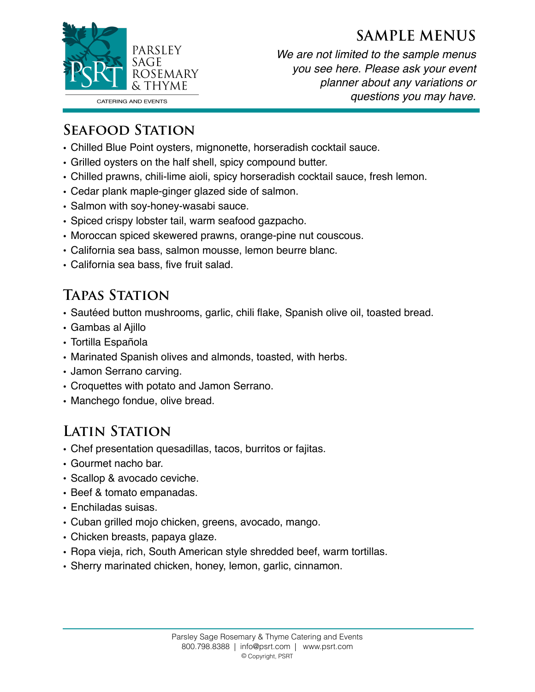#### **SAMPLE MENUS**



*We are not limited to the sample menus you see here. Please ask your event planner about any variations or questions you may have.* 

#### **Seafood Station**

- Chilled Blue Point oysters, mignonette, horseradish cocktail sauce.
- Grilled oysters on the half shell, spicy compound butter.
- Chilled prawns, chili-lime aioli, spicy horseradish cocktail sauce, fresh lemon.
- Cedar plank maple-ginger glazed side of salmon.
- Salmon with soy-honey-wasabi sauce.
- Spiced crispy lobster tail, warm seafood gazpacho.
- Moroccan spiced skewered prawns, orange-pine nut couscous.
- California sea bass, salmon mousse, lemon beurre blanc.
- California sea bass, five fruit salad.

#### **Tapas Station**

- Sautéed button mushrooms, garlic, chili flake, Spanish olive oil, toasted bread.
- Gambas al Ajillo
- Tortilla Española
- Marinated Spanish olives and almonds, toasted, with herbs.
- Jamon Serrano carving.
- Croquettes with potato and Jamon Serrano.
- Manchego fondue, olive bread.

## **Latin Station**

- Chef presentation quesadillas, tacos, burritos or fajitas.
- Gourmet nacho bar.
- Scallop & avocado ceviche.
- Beef & tomato empanadas.
- Enchiladas suisas.
- Cuban grilled mojo chicken, greens, avocado, mango.
- Chicken breasts, papaya glaze.
- Ropa vieja, rich, South American style shredded beef, warm tortillas.
- Sherry marinated chicken, honey, lemon, garlic, cinnamon.